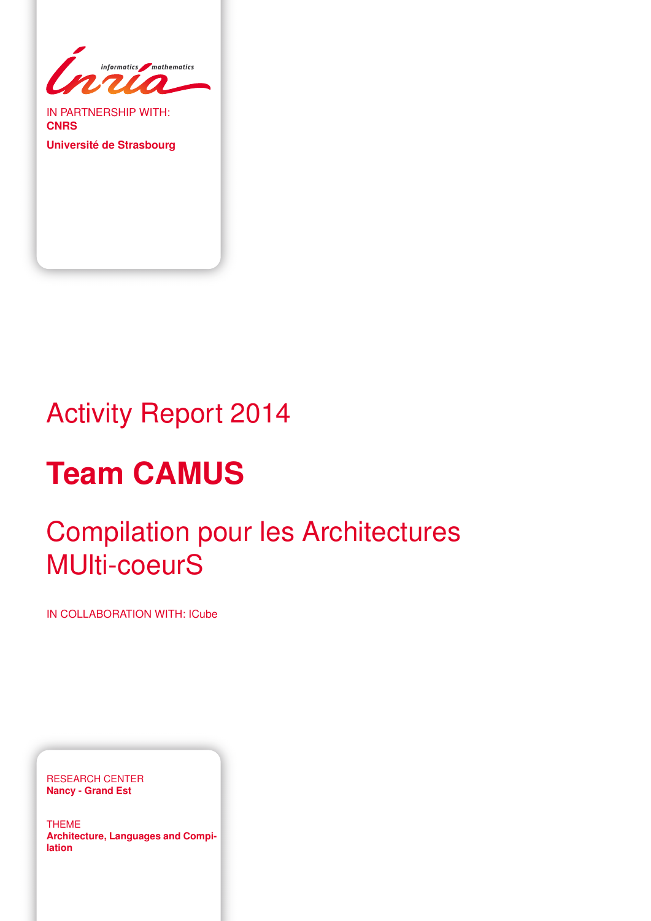

IN PARTNERSHIP WITH: **CNRS**

**Université de Strasbourg**

# Activity Report 2014

# **Team CAMUS**

# Compilation pour les Architectures MUlti-coeurS

IN COLLABORATION WITH: ICube

RESEARCH CENTER **Nancy - Grand Est**

THEME **Architecture, Languages and Compilation**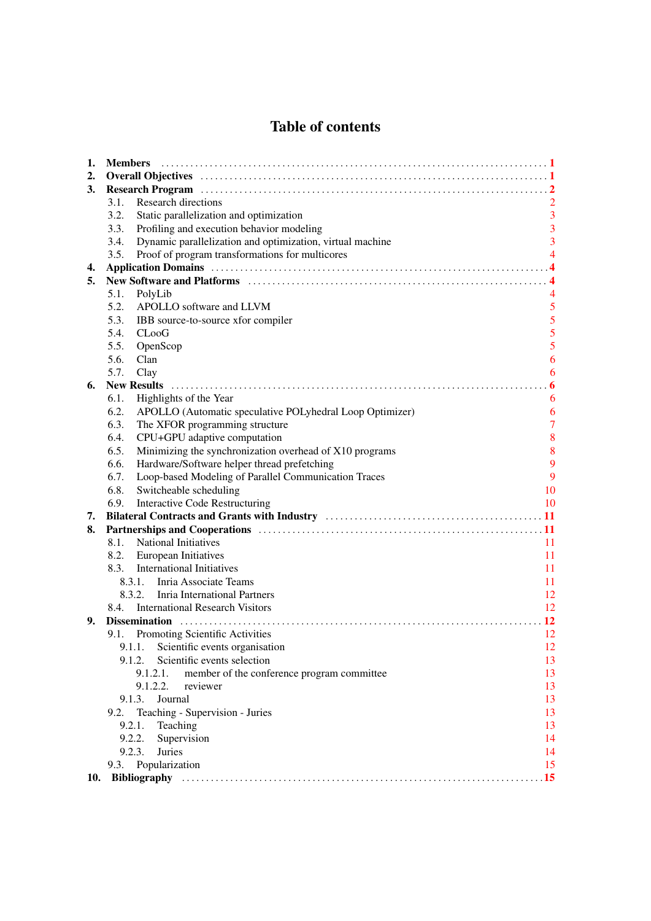# Table of contents

| 1.  | <b>Members</b>                                                                                                                                                                                                                 |                |
|-----|--------------------------------------------------------------------------------------------------------------------------------------------------------------------------------------------------------------------------------|----------------|
| 2.  |                                                                                                                                                                                                                                |                |
| 3.  | Research Program (a) material contract to the contract of the contract of the contract of the contract of the contract of the contract of the contract of the contract of the contract of the contract of the contract of the  |                |
|     | <b>Research directions</b><br>3.1.                                                                                                                                                                                             |                |
|     | 3.2.<br>Static parallelization and optimization                                                                                                                                                                                | $\overline{3}$ |
|     | Profiling and execution behavior modeling<br>3.3.                                                                                                                                                                              | 3              |
|     | Dynamic parallelization and optimization, virtual machine<br>3.4.                                                                                                                                                              | $\overline{3}$ |
|     | Proof of program transformations for multicores<br>3.5.                                                                                                                                                                        | $\overline{4}$ |
| 4.  |                                                                                                                                                                                                                                |                |
| 5.  | New Software and Platforms (and the context of the state of the state of the state of the state of the state of the state of the state of the state of the state of the state of the state of the state of the state of the st |                |
|     | 5.1.<br>PolyLib                                                                                                                                                                                                                |                |
|     | 5.2.<br>APOLLO software and LLVM                                                                                                                                                                                               | 5              |
|     | 5.3.<br>IBB source-to-source xfor compiler                                                                                                                                                                                     | 5              |
|     | 5.4.<br>$C$ Loo $G$                                                                                                                                                                                                            | 5              |
|     | 5.5.<br>OpenScop                                                                                                                                                                                                               | 5              |
|     | 5.6.<br>Clan                                                                                                                                                                                                                   | 6              |
|     | 5.7.<br>Clay                                                                                                                                                                                                                   | 6              |
| 6.  | <b>New Results</b>                                                                                                                                                                                                             | 6              |
|     | Highlights of the Year<br>6.1.                                                                                                                                                                                                 | 6              |
|     | 6.2.<br>APOLLO (Automatic speculative POLyhedral Loop Optimizer)                                                                                                                                                               | 6              |
|     | 6.3.<br>The XFOR programming structure                                                                                                                                                                                         | $\overline{7}$ |
|     | 6.4.<br>CPU+GPU adaptive computation                                                                                                                                                                                           | 8              |
|     | 6.5.<br>Minimizing the synchronization overhead of X10 programs                                                                                                                                                                | 8              |
|     | 6.6.<br>Hardware/Software helper thread prefetching                                                                                                                                                                            | 9              |
|     | 6.7.<br>Loop-based Modeling of Parallel Communication Traces                                                                                                                                                                   | 9              |
|     | 6.8.<br>Switcheable scheduling                                                                                                                                                                                                 | 10             |
|     | 6.9.<br><b>Interactive Code Restructuring</b>                                                                                                                                                                                  | 10             |
| 7.  |                                                                                                                                                                                                                                |                |
| 8.  |                                                                                                                                                                                                                                |                |
|     | <b>National Initiatives</b><br>8.1.                                                                                                                                                                                            | 11             |
|     | 8.2.<br>European Initiatives                                                                                                                                                                                                   | 11             |
|     | <b>International Initiatives</b><br>8.3.                                                                                                                                                                                       | 11             |
|     | 8.3.1. Inria Associate Teams                                                                                                                                                                                                   | 11             |
|     | 8.3.2. Inria International Partners                                                                                                                                                                                            | 12             |
|     | <b>International Research Visitors</b><br>8.4.                                                                                                                                                                                 | 12             |
| 9.  | Dissemination                                                                                                                                                                                                                  | <b>12</b>      |
|     | 9.1. Promoting Scientific Activities                                                                                                                                                                                           | 12             |
|     | 9.1.1. Scientific events organisation                                                                                                                                                                                          | 12             |
|     | Scientific events selection<br>9.1.2.                                                                                                                                                                                          | 13             |
|     | member of the conference program committee<br>9.1.2.1.                                                                                                                                                                         | 13             |
|     | 9.1.2.2.<br>reviewer                                                                                                                                                                                                           | 13             |
|     | 9.1.3.<br>Journal                                                                                                                                                                                                              | 13             |
|     | 9.2.<br>Teaching - Supervision - Juries                                                                                                                                                                                        | 13             |
|     | 9.2.1.<br>Teaching                                                                                                                                                                                                             | 13             |
|     | 9.2.2.<br>Supervision                                                                                                                                                                                                          | 14             |
|     | 9.2.3.<br><b>Juries</b>                                                                                                                                                                                                        | 14             |
|     | 9.3. Popularization                                                                                                                                                                                                            | 15             |
| 10. |                                                                                                                                                                                                                                |                |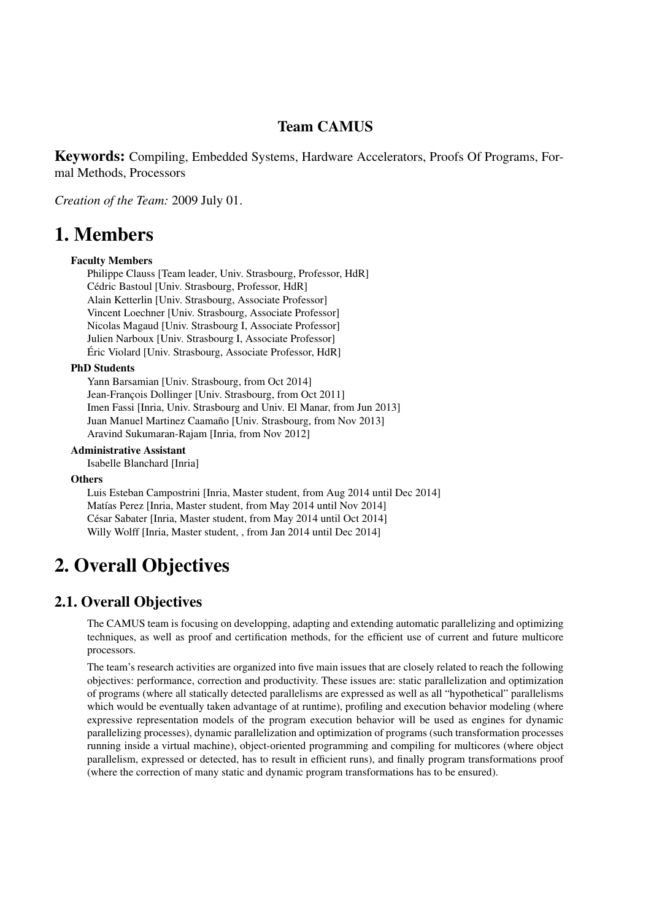# Team CAMUS

Keywords: Compiling, Embedded Systems, Hardware Accelerators, Proofs Of Programs, Formal Methods, Processors

*Creation of the Team:* 2009 July 01.

# <span id="page-4-0"></span>1. Members

### Faculty Members

Philippe Clauss [Team leader, Univ. Strasbourg, Professor, HdR] Cédric Bastoul [Univ. Strasbourg, Professor, HdR] Alain Ketterlin [Univ. Strasbourg, Associate Professor] Vincent Loechner [Univ. Strasbourg, Associate Professor] Nicolas Magaud [Univ. Strasbourg I, Associate Professor] Julien Narboux [Univ. Strasbourg I, Associate Professor] Éric Violard [Univ. Strasbourg, Associate Professor, HdR]

#### PhD Students

Yann Barsamian [Univ. Strasbourg, from Oct 2014] Jean-François Dollinger [Univ. Strasbourg, from Oct 2011] Imen Fassi [Inria, Univ. Strasbourg and Univ. El Manar, from Jun 2013] Juan Manuel Martinez Caamaño [Univ. Strasbourg, from Nov 2013] Aravind Sukumaran-Rajam [Inria, from Nov 2012]

### Administrative Assistant

Isabelle Blanchard [Inria]

#### **Others**

Luis Esteban Campostrini [Inria, Master student, from Aug 2014 until Dec 2014] Matías Perez [Inria, Master student, from May 2014 until Nov 2014] César Sabater [Inria, Master student, from May 2014 until Oct 2014] Willy Wolff [Inria, Master student, , from Jan 2014 until Dec 2014]

# <span id="page-4-1"></span>2. Overall Objectives

### 2.1. Overall Objectives

The CAMUS team is focusing on developping, adapting and extending automatic parallelizing and optimizing techniques, as well as proof and certification methods, for the efficient use of current and future multicore processors.

The team's research activities are organized into five main issues that are closely related to reach the following objectives: performance, correction and productivity. These issues are: static parallelization and optimization of programs (where all statically detected parallelisms are expressed as well as all "hypothetical" parallelisms which would be eventually taken advantage of at runtime), profiling and execution behavior modeling (where expressive representation models of the program execution behavior will be used as engines for dynamic parallelizing processes), dynamic parallelization and optimization of programs (such transformation processes running inside a virtual machine), object-oriented programming and compiling for multicores (where object parallelism, expressed or detected, has to result in efficient runs), and finally program transformations proof (where the correction of many static and dynamic program transformations has to be ensured).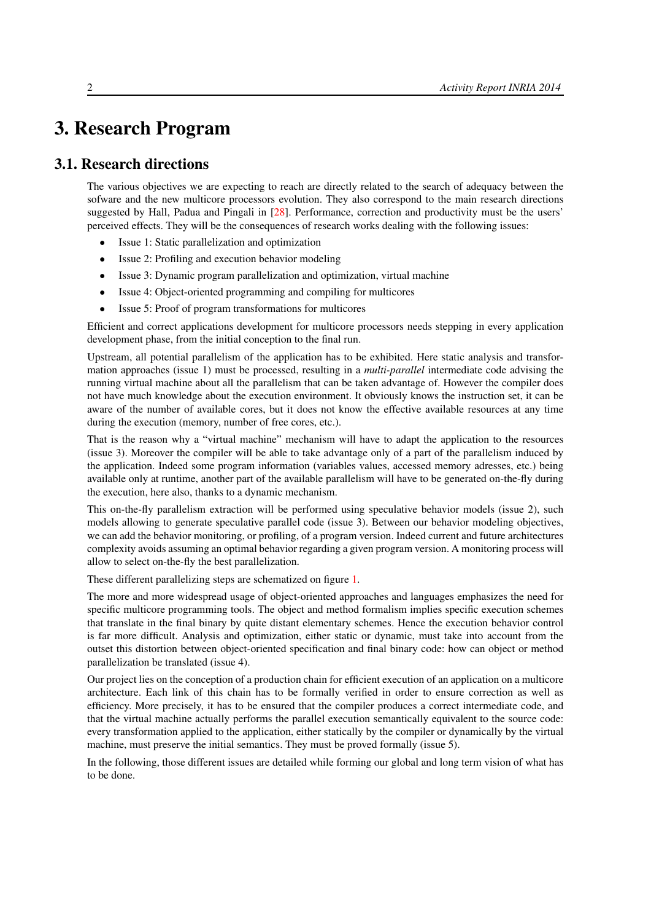# <span id="page-5-0"></span>3. Research Program

# 3.1. Research directions

<span id="page-5-1"></span>The various objectives we are expecting to reach are directly related to the search of adequacy between the sofware and the new multicore processors evolution. They also correspond to the main research directions suggested by Hall, Padua and Pingali in [\[28\]](#page-20-0). Performance, correction and productivity must be the users' perceived effects. They will be the consequences of research works dealing with the following issues:

- Issue 1: Static parallelization and optimization
- Issue 2: Profiling and execution behavior modeling
- Issue 3: Dynamic program parallelization and optimization, virtual machine
- Issue 4: Object-oriented programming and compiling for multicores
- Issue 5: Proof of program transformations for multicores

Efficient and correct applications development for multicore processors needs stepping in every application development phase, from the initial conception to the final run.

Upstream, all potential parallelism of the application has to be exhibited. Here static analysis and transformation approaches (issue 1) must be processed, resulting in a *multi-parallel* intermediate code advising the running virtual machine about all the parallelism that can be taken advantage of. However the compiler does not have much knowledge about the execution environment. It obviously knows the instruction set, it can be aware of the number of available cores, but it does not know the effective available resources at any time during the execution (memory, number of free cores, etc.).

That is the reason why a "virtual machine" mechanism will have to adapt the application to the resources (issue 3). Moreover the compiler will be able to take advantage only of a part of the parallelism induced by the application. Indeed some program information (variables values, accessed memory adresses, etc.) being available only at runtime, another part of the available parallelism will have to be generated on-the-fly during the execution, here also, thanks to a dynamic mechanism.

This on-the-fly parallelism extraction will be performed using speculative behavior models (issue 2), such models allowing to generate speculative parallel code (issue 3). Between our behavior modeling objectives, we can add the behavior monitoring, or profiling, of a program version. Indeed current and future architectures complexity avoids assuming an optimal behavior regarding a given program version. A monitoring process will allow to select on-the-fly the best parallelization.

These different parallelizing steps are schematized on figure [1.](#page-6-3)

The more and more widespread usage of object-oriented approaches and languages emphasizes the need for specific multicore programming tools. The object and method formalism implies specific execution schemes that translate in the final binary by quite distant elementary schemes. Hence the execution behavior control is far more difficult. Analysis and optimization, either static or dynamic, must take into account from the outset this distortion between object-oriented specification and final binary code: how can object or method parallelization be translated (issue 4).

Our project lies on the conception of a production chain for efficient execution of an application on a multicore architecture. Each link of this chain has to be formally verified in order to ensure correction as well as efficiency. More precisely, it has to be ensured that the compiler produces a correct intermediate code, and that the virtual machine actually performs the parallel execution semantically equivalent to the source code: every transformation applied to the application, either statically by the compiler or dynamically by the virtual machine, must preserve the initial semantics. They must be proved formally (issue 5).

In the following, those different issues are detailed while forming our global and long term vision of what has to be done.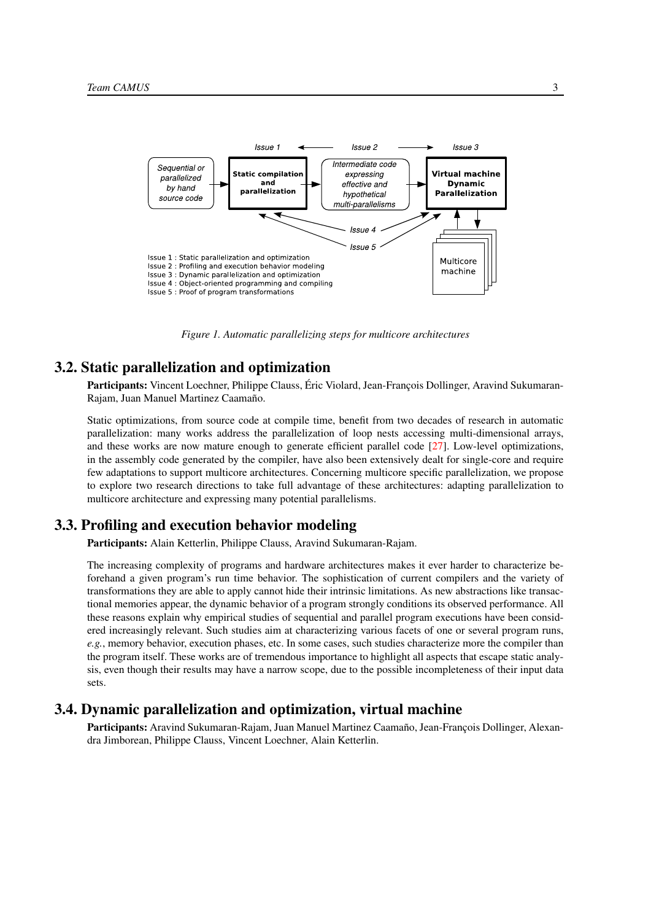<span id="page-6-3"></span>

*Figure 1. Automatic parallelizing steps for multicore architectures*

### 3.2. Static parallelization and optimization

<span id="page-6-0"></span>Participants: Vincent Loechner, Philippe Clauss, Éric Violard, Jean-François Dollinger, Aravind Sukumaran-Rajam, Juan Manuel Martinez Caamaño.

Static optimizations, from source code at compile time, benefit from two decades of research in automatic parallelization: many works address the parallelization of loop nests accessing multi-dimensional arrays, and these works are now mature enough to generate efficient parallel code [\[27\]](#page-20-1). Low-level optimizations, in the assembly code generated by the compiler, have also been extensively dealt for single-core and require few adaptations to support multicore architectures. Concerning multicore specific parallelization, we propose to explore two research directions to take full advantage of these architectures: adapting parallelization to multicore architecture and expressing many potential parallelisms.

### 3.3. Profiling and execution behavior modeling

<span id="page-6-1"></span>Participants: Alain Ketterlin, Philippe Clauss, Aravind Sukumaran-Rajam.

The increasing complexity of programs and hardware architectures makes it ever harder to characterize beforehand a given program's run time behavior. The sophistication of current compilers and the variety of transformations they are able to apply cannot hide their intrinsic limitations. As new abstractions like transactional memories appear, the dynamic behavior of a program strongly conditions its observed performance. All these reasons explain why empirical studies of sequential and parallel program executions have been considered increasingly relevant. Such studies aim at characterizing various facets of one or several program runs, *e.g.*, memory behavior, execution phases, etc. In some cases, such studies characterize more the compiler than the program itself. These works are of tremendous importance to highlight all aspects that escape static analysis, even though their results may have a narrow scope, due to the possible incompleteness of their input data sets.

## 3.4. Dynamic parallelization and optimization, virtual machine

<span id="page-6-2"></span>Participants: Aravind Sukumaran-Rajam, Juan Manuel Martinez Caamaño, Jean-François Dollinger, Alexandra Jimborean, Philippe Clauss, Vincent Loechner, Alain Ketterlin.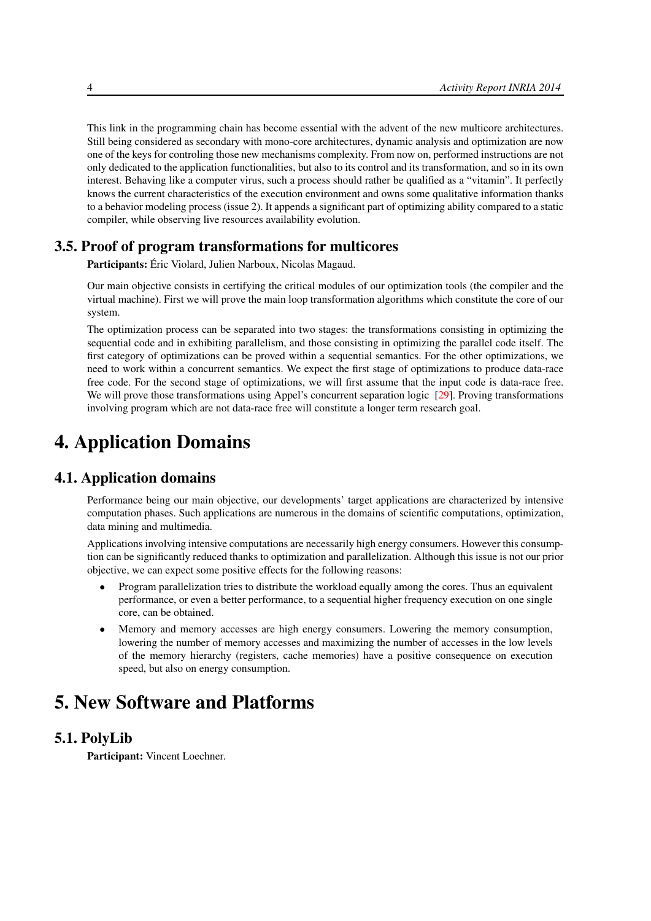This link in the programming chain has become essential with the advent of the new multicore architectures. Still being considered as secondary with mono-core architectures, dynamic analysis and optimization are now one of the keys for controling those new mechanisms complexity. From now on, performed instructions are not only dedicated to the application functionalities, but also to its control and its transformation, and so in its own interest. Behaving like a computer virus, such a process should rather be qualified as a "vitamin". It perfectly knows the current characteristics of the execution environment and owns some qualitative information thanks to a behavior modeling process (issue 2). It appends a significant part of optimizing ability compared to a static compiler, while observing live resources availability evolution.

## 3.5. Proof of program transformations for multicores

<span id="page-7-0"></span>Participants: Éric Violard, Julien Narboux, Nicolas Magaud.

Our main objective consists in certifying the critical modules of our optimization tools (the compiler and the virtual machine). First we will prove the main loop transformation algorithms which constitute the core of our system.

The optimization process can be separated into two stages: the transformations consisting in optimizing the sequential code and in exhibiting parallelism, and those consisting in optimizing the parallel code itself. The first category of optimizations can be proved within a sequential semantics. For the other optimizations, we need to work within a concurrent semantics. We expect the first stage of optimizations to produce data-race free code. For the second stage of optimizations, we will first assume that the input code is data-race free. We will prove those transformations using Appel's concurrent separation logic [\[29\]](#page-20-2). Proving transformations involving program which are not data-race free will constitute a longer term research goal.

# <span id="page-7-1"></span>4. Application Domains

# 4.1. Application domains

Performance being our main objective, our developments' target applications are characterized by intensive computation phases. Such applications are numerous in the domains of scientific computations, optimization, data mining and multimedia.

Applications involving intensive computations are necessarily high energy consumers. However this consumption can be significantly reduced thanks to optimization and parallelization. Although this issue is not our prior objective, we can expect some positive effects for the following reasons:

- Program parallelization tries to distribute the workload equally among the cores. Thus an equivalent performance, or even a better performance, to a sequential higher frequency execution on one single core, can be obtained.
- Memory and memory accesses are high energy consumers. Lowering the memory consumption, lowering the number of memory accesses and maximizing the number of accesses in the low levels of the memory hierarchy (registers, cache memories) have a positive consequence on execution speed, but also on energy consumption.

# <span id="page-7-2"></span>5. New Software and Platforms

### 5.1. PolyLib

<span id="page-7-3"></span>Participant: Vincent Loechner.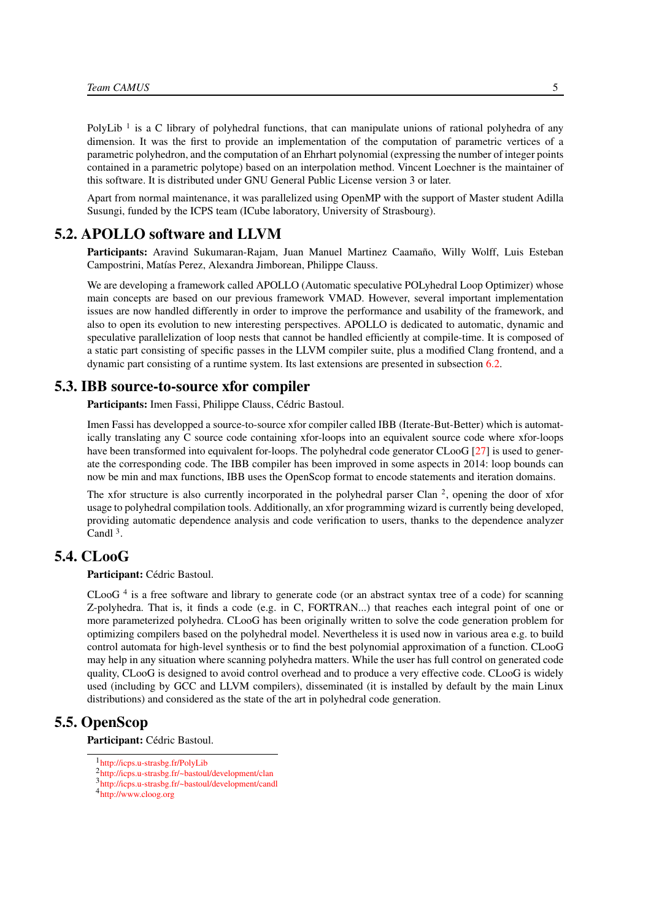PolyLib<sup>1</sup> is a C library of polyhedral functions, that can manipulate unions of rational polyhedra of any dimension. It was the first to provide an implementation of the computation of parametric vertices of a parametric polyhedron, and the computation of an Ehrhart polynomial (expressing the number of integer points contained in a parametric polytope) based on an interpolation method. Vincent Loechner is the maintainer of this software. It is distributed under GNU General Public License version 3 or later.

Apart from normal maintenance, it was parallelized using OpenMP with the support of Master student Adilla Susungi, funded by the ICPS team (ICube laboratory, University of Strasbourg).

### 5.2. APOLLO software and LLVM

<span id="page-8-0"></span>Participants: Aravind Sukumaran-Rajam, Juan Manuel Martinez Caamaño, Willy Wolff, Luis Esteban Campostrini, Matías Perez, Alexandra Jimborean, Philippe Clauss.

We are developing a framework called APOLLO (Automatic speculative POLyhedral Loop Optimizer) whose main concepts are based on our previous framework VMAD. However, several important implementation issues are now handled differently in order to improve the performance and usability of the framework, and also to open its evolution to new interesting perspectives. APOLLO is dedicated to automatic, dynamic and speculative parallelization of loop nests that cannot be handled efficiently at compile-time. It is composed of a static part consisting of specific passes in the LLVM compiler suite, plus a modified Clang frontend, and a dynamic part consisting of a runtime system. Its last extensions are presented in subsection [6.2.](#page-9-4)

### 5.3. IBB source-to-source xfor compiler

<span id="page-8-1"></span>Participants: Imen Fassi, Philippe Clauss, Cédric Bastoul.

Imen Fassi has developped a source-to-source xfor compiler called IBB (Iterate-But-Better) which is automatically translating any C source code containing xfor-loops into an equivalent source code where xfor-loops have been transformed into equivalent for-loops. The polyhedral code generator CLooG [\[27\]](#page-20-1) is used to generate the corresponding code. The IBB compiler has been improved in some aspects in 2014: loop bounds can now be min and max functions, IBB uses the OpenScop format to encode statements and iteration domains.

The xfor structure is also currently incorporated in the polyhedral parser Clan  $2$ , opening the door of xfor usage to polyhedral compilation tools. Additionally, an xfor programming wizard is currently being developed, providing automatic dependence analysis and code verification to users, thanks to the dependence analyzer Candl  $3$ .

# 5.4. CLooG

### <span id="page-8-2"></span>Participant: Cédric Bastoul.

CLooG<sup>4</sup> is a free software and library to generate code (or an abstract syntax tree of a code) for scanning Z-polyhedra. That is, it finds a code (e.g. in C, FORTRAN...) that reaches each integral point of one or more parameterized polyhedra. CLooG has been originally written to solve the code generation problem for optimizing compilers based on the polyhedral model. Nevertheless it is used now in various area e.g. to build control automata for high-level synthesis or to find the best polynomial approximation of a function. CLooG may help in any situation where scanning polyhedra matters. While the user has full control on generated code quality, CLooG is designed to avoid control overhead and to produce a very effective code. CLooG is widely used (including by GCC and LLVM compilers), disseminated (it is installed by default by the main Linux distributions) and considered as the state of the art in polyhedral code generation.

### 5.5. OpenScop

<span id="page-8-3"></span>Participant: Cédric Bastoul.

<sup>1</sup> <http://icps.u-strasbg.fr/PolyLib>

<sup>2</sup> <http://icps.u-strasbg.fr/~bastoul/development/clan>

<sup>3</sup> <http://icps.u-strasbg.fr/~bastoul/development/candl>

<sup>4</sup> <http://www.cloog.org>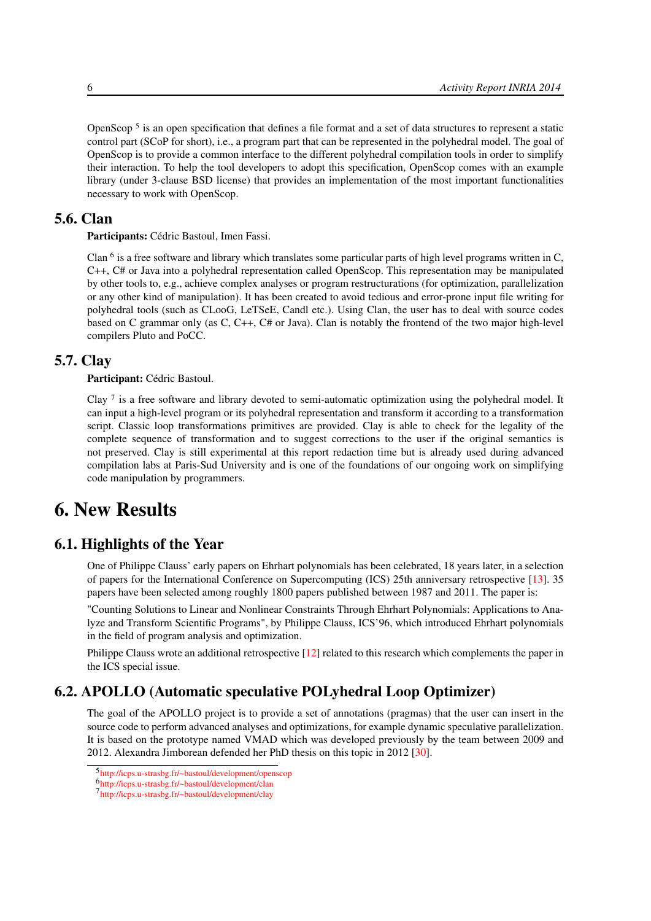OpenScop<sup>5</sup> is an open specification that defines a file format and a set of data structures to represent a static control part (SCoP for short), i.e., a program part that can be represented in the polyhedral model. The goal of OpenScop is to provide a common interface to the different polyhedral compilation tools in order to simplify their interaction. To help the tool developers to adopt this specification, OpenScop comes with an example library (under 3-clause BSD license) that provides an implementation of the most important functionalities necessary to work with OpenScop.

# 5.6. Clan

<span id="page-9-0"></span>Participants: Cédric Bastoul, Imen Fassi.

Clan <sup>6</sup> is a free software and library which translates some particular parts of high level programs written in C, C++, C# or Java into a polyhedral representation called OpenScop. This representation may be manipulated by other tools to, e.g., achieve complex analyses or program restructurations (for optimization, parallelization or any other kind of manipulation). It has been created to avoid tedious and error-prone input file writing for polyhedral tools (such as CLooG, LeTSeE, Candl etc.). Using Clan, the user has to deal with source codes based on C grammar only (as C, C++, C# or Java). Clan is notably the frontend of the two major high-level compilers Pluto and PoCC.

### 5.7. Clay

<span id="page-9-1"></span>Participant: Cédric Bastoul.

Clay  $7$  is a free software and library devoted to semi-automatic optimization using the polyhedral model. It can input a high-level program or its polyhedral representation and transform it according to a transformation script. Classic loop transformations primitives are provided. Clay is able to check for the legality of the complete sequence of transformation and to suggest corrections to the user if the original semantics is not preserved. Clay is still experimental at this report redaction time but is already used during advanced compilation labs at Paris-Sud University and is one of the foundations of our ongoing work on simplifying code manipulation by programmers.

# <span id="page-9-2"></span>6. New Results

# 6.1. Highlights of the Year

<span id="page-9-3"></span>One of Philippe Clauss' early papers on Ehrhart polynomials has been celebrated, 18 years later, in a selection of papers for the International Conference on Supercomputing (ICS) 25th anniversary retrospective [\[13\]](#page-19-0). 35 papers have been selected among roughly 1800 papers published between 1987 and 2011. The paper is:

"Counting Solutions to Linear and Nonlinear Constraints Through Ehrhart Polynomials: Applications to Analyze and Transform Scientific Programs", by Philippe Clauss, ICS'96, which introduced Ehrhart polynomials in the field of program analysis and optimization.

Philippe Clauss wrote an additional retrospective [\[12\]](#page-19-1) related to this research which complements the paper in the ICS special issue.

# 6.2. APOLLO (Automatic speculative POLyhedral Loop Optimizer)

<span id="page-9-4"></span>The goal of the APOLLO project is to provide a set of annotations (pragmas) that the user can insert in the source code to perform advanced analyses and optimizations, for example dynamic speculative parallelization. It is based on the prototype named VMAD which was developed previously by the team between 2009 and 2012. Alexandra Jimborean defended her PhD thesis on this topic in 2012 [\[30\]](#page-20-3).

<sup>5</sup> <http://icps.u-strasbg.fr/~bastoul/development/openscop>

<sup>6</sup> <http://icps.u-strasbg.fr/~bastoul/development/clan>

<sup>7</sup> <http://icps.u-strasbg.fr/~bastoul/development/clay>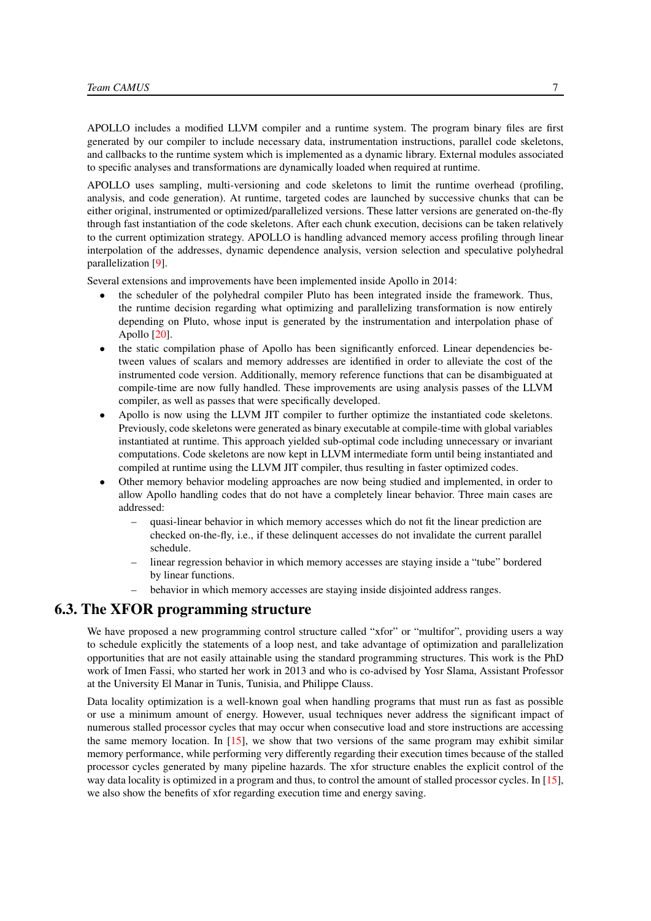APOLLO includes a modified LLVM compiler and a runtime system. The program binary files are first generated by our compiler to include necessary data, instrumentation instructions, parallel code skeletons, and callbacks to the runtime system which is implemented as a dynamic library. External modules associated to specific analyses and transformations are dynamically loaded when required at runtime.

APOLLO uses sampling, multi-versioning and code skeletons to limit the runtime overhead (profiling, analysis, and code generation). At runtime, targeted codes are launched by successive chunks that can be either original, instrumented or optimized/parallelized versions. These latter versions are generated on-the-fly through fast instantiation of the code skeletons. After each chunk execution, decisions can be taken relatively to the current optimization strategy. APOLLO is handling advanced memory access profiling through linear interpolation of the addresses, dynamic dependence analysis, version selection and speculative polyhedral parallelization [\[9\]](#page-18-2).

Several extensions and improvements have been implemented inside Apollo in 2014:

- the scheduler of the polyhedral compiler Pluto has been integrated inside the framework. Thus, the runtime decision regarding what optimizing and parallelizing transformation is now entirely depending on Pluto, whose input is generated by the instrumentation and interpolation phase of Apollo [\[20\]](#page-19-2).
- the static compilation phase of Apollo has been significantly enforced. Linear dependencies between values of scalars and memory addresses are identified in order to alleviate the cost of the instrumented code version. Additionally, memory reference functions that can be disambiguated at compile-time are now fully handled. These improvements are using analysis passes of the LLVM compiler, as well as passes that were specifically developed.
- Apollo is now using the LLVM JIT compiler to further optimize the instantiated code skeletons. Previously, code skeletons were generated as binary executable at compile-time with global variables instantiated at runtime. This approach yielded sub-optimal code including unnecessary or invariant computations. Code skeletons are now kept in LLVM intermediate form until being instantiated and compiled at runtime using the LLVM JIT compiler, thus resulting in faster optimized codes.
- Other memory behavior modeling approaches are now being studied and implemented, in order to allow Apollo handling codes that do not have a completely linear behavior. Three main cases are addressed:
	- quasi-linear behavior in which memory accesses which do not fit the linear prediction are checked on-the-fly, i.e., if these delinquent accesses do not invalidate the current parallel schedule.
	- linear regression behavior in which memory accesses are staying inside a "tube" bordered by linear functions.
	- behavior in which memory accesses are staying inside disjointed address ranges.

### 6.3. The XFOR programming structure

<span id="page-10-0"></span>We have proposed a new programming control structure called "xfor" or "multifor", providing users a way to schedule explicitly the statements of a loop nest, and take advantage of optimization and parallelization opportunities that are not easily attainable using the standard programming structures. This work is the PhD work of Imen Fassi, who started her work in 2013 and who is co-advised by Yosr Slama, Assistant Professor at the University El Manar in Tunis, Tunisia, and Philippe Clauss.

Data locality optimization is a well-known goal when handling programs that must run as fast as possible or use a minimum amount of energy. However, usual techniques never address the significant impact of numerous stalled processor cycles that may occur when consecutive load and store instructions are accessing the same memory location. In  $[15]$ , we show that two versions of the same program may exhibit similar memory performance, while performing very differently regarding their execution times because of the stalled processor cycles generated by many pipeline hazards. The xfor structure enables the explicit control of the way data locality is optimized in a program and thus, to control the amount of stalled processor cycles. In [\[15\]](#page-19-3), we also show the benefits of xfor regarding execution time and energy saving.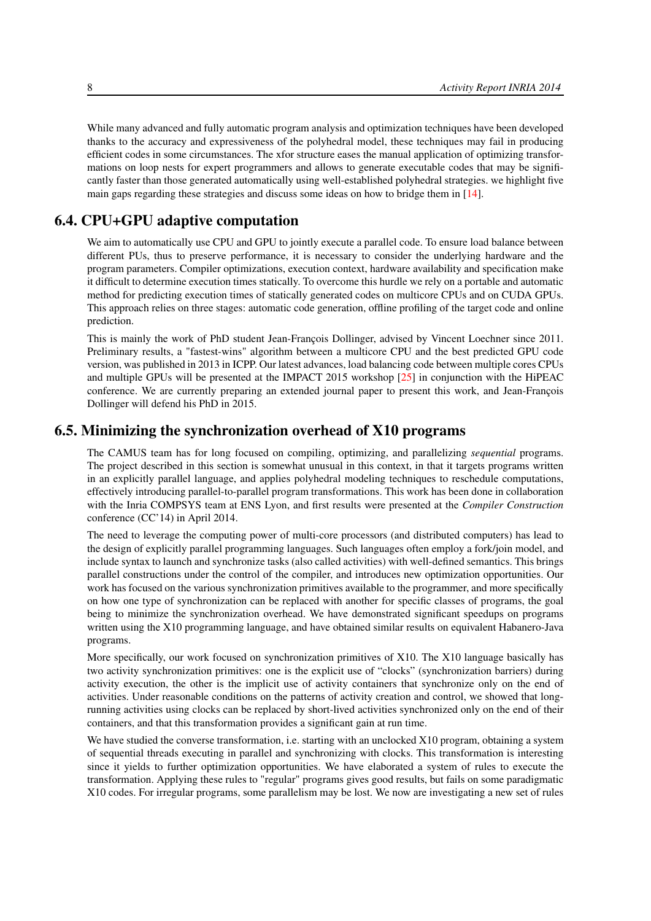While many advanced and fully automatic program analysis and optimization techniques have been developed thanks to the accuracy and expressiveness of the polyhedral model, these techniques may fail in producing efficient codes in some circumstances. The xfor structure eases the manual application of optimizing transformations on loop nests for expert programmers and allows to generate executable codes that may be significantly faster than those generated automatically using well-established polyhedral strategies. we highlight five main gaps regarding these strategies and discuss some ideas on how to bridge them in [\[14\]](#page-19-4).

# 6.4. CPU+GPU adaptive computation

<span id="page-11-0"></span>We aim to automatically use CPU and GPU to jointly execute a parallel code. To ensure load balance between different PUs, thus to preserve performance, it is necessary to consider the underlying hardware and the program parameters. Compiler optimizations, execution context, hardware availability and specification make it difficult to determine execution times statically. To overcome this hurdle we rely on a portable and automatic method for predicting execution times of statically generated codes on multicore CPUs and on CUDA GPUs. This approach relies on three stages: automatic code generation, offline profiling of the target code and online prediction.

This is mainly the work of PhD student Jean-François Dollinger, advised by Vincent Loechner since 2011. Preliminary results, a "fastest-wins" algorithm between a multicore CPU and the best predicted GPU code version, was published in 2013 in ICPP. Our latest advances, load balancing code between multiple cores CPUs and multiple GPUs will be presented at the IMPACT 2015 workshop [\[25\]](#page-20-4) in conjunction with the HiPEAC conference. We are currently preparing an extended journal paper to present this work, and Jean-François Dollinger will defend his PhD in 2015.

### 6.5. Minimizing the synchronization overhead of X10 programs

<span id="page-11-1"></span>The CAMUS team has for long focused on compiling, optimizing, and parallelizing *sequential* programs. The project described in this section is somewhat unusual in this context, in that it targets programs written in an explicitly parallel language, and applies polyhedral modeling techniques to reschedule computations, effectively introducing parallel-to-parallel program transformations. This work has been done in collaboration with the Inria COMPSYS team at ENS Lyon, and first results were presented at the *Compiler Construction* conference (CC'14) in April 2014.

The need to leverage the computing power of multi-core processors (and distributed computers) has lead to the design of explicitly parallel programming languages. Such languages often employ a fork/join model, and include syntax to launch and synchronize tasks (also called activities) with well-defined semantics. This brings parallel constructions under the control of the compiler, and introduces new optimization opportunities. Our work has focused on the various synchronization primitives available to the programmer, and more specifically on how one type of synchronization can be replaced with another for specific classes of programs, the goal being to minimize the synchronization overhead. We have demonstrated significant speedups on programs written using the X10 programming language, and have obtained similar results on equivalent Habanero-Java programs.

More specifically, our work focused on synchronization primitives of X10. The X10 language basically has two activity synchronization primitives: one is the explicit use of "clocks" (synchronization barriers) during activity execution, the other is the implicit use of activity containers that synchronize only on the end of activities. Under reasonable conditions on the patterns of activity creation and control, we showed that longrunning activities using clocks can be replaced by short-lived activities synchronized only on the end of their containers, and that this transformation provides a significant gain at run time.

We have studied the converse transformation, i.e. starting with an unclocked X10 program, obtaining a system of sequential threads executing in parallel and synchronizing with clocks. This transformation is interesting since it yields to further optimization opportunities. We have elaborated a system of rules to execute the transformation. Applying these rules to "regular" programs gives good results, but fails on some paradigmatic X10 codes. For irregular programs, some parallelism may be lost. We now are investigating a new set of rules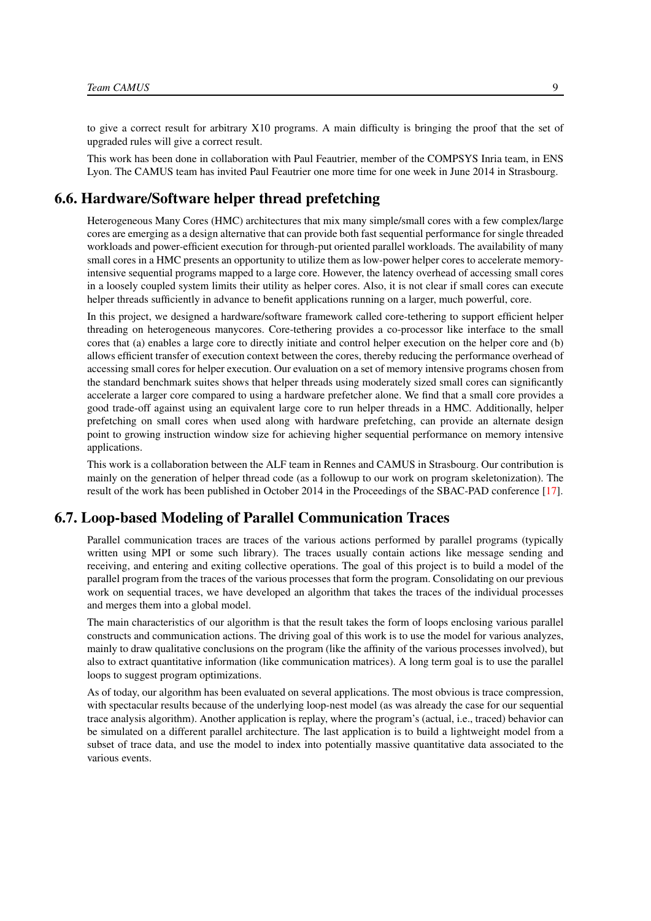to give a correct result for arbitrary X10 programs. A main difficulty is bringing the proof that the set of upgraded rules will give a correct result.

This work has been done in collaboration with Paul Feautrier, member of the COMPSYS Inria team, in ENS Lyon. The CAMUS team has invited Paul Feautrier one more time for one week in June 2014 in Strasbourg.

# 6.6. Hardware/Software helper thread prefetching

<span id="page-12-0"></span>Heterogeneous Many Cores (HMC) architectures that mix many simple/small cores with a few complex/large cores are emerging as a design alternative that can provide both fast sequential performance for single threaded workloads and power-efficient execution for through-put oriented parallel workloads. The availability of many small cores in a HMC presents an opportunity to utilize them as low-power helper cores to accelerate memoryintensive sequential programs mapped to a large core. However, the latency overhead of accessing small cores in a loosely coupled system limits their utility as helper cores. Also, it is not clear if small cores can execute helper threads sufficiently in advance to benefit applications running on a larger, much powerful, core.

In this project, we designed a hardware/software framework called core-tethering to support efficient helper threading on heterogeneous manycores. Core-tethering provides a co-processor like interface to the small cores that (a) enables a large core to directly initiate and control helper execution on the helper core and (b) allows efficient transfer of execution context between the cores, thereby reducing the performance overhead of accessing small cores for helper execution. Our evaluation on a set of memory intensive programs chosen from the standard benchmark suites shows that helper threads using moderately sized small cores can significantly accelerate a larger core compared to using a hardware prefetcher alone. We find that a small core provides a good trade-off against using an equivalent large core to run helper threads in a HMC. Additionally, helper prefetching on small cores when used along with hardware prefetching, can provide an alternate design point to growing instruction window size for achieving higher sequential performance on memory intensive applications.

This work is a collaboration between the ALF team in Rennes and CAMUS in Strasbourg. Our contribution is mainly on the generation of helper thread code (as a followup to our work on program skeletonization). The result of the work has been published in October 2014 in the Proceedings of the SBAC-PAD conference [\[17\]](#page-19-5).

### 6.7. Loop-based Modeling of Parallel Communication Traces

<span id="page-12-1"></span>Parallel communication traces are traces of the various actions performed by parallel programs (typically written using MPI or some such library). The traces usually contain actions like message sending and receiving, and entering and exiting collective operations. The goal of this project is to build a model of the parallel program from the traces of the various processes that form the program. Consolidating on our previous work on sequential traces, we have developed an algorithm that takes the traces of the individual processes and merges them into a global model.

The main characteristics of our algorithm is that the result takes the form of loops enclosing various parallel constructs and communication actions. The driving goal of this work is to use the model for various analyzes, mainly to draw qualitative conclusions on the program (like the affinity of the various processes involved), but also to extract quantitative information (like communication matrices). A long term goal is to use the parallel loops to suggest program optimizations.

As of today, our algorithm has been evaluated on several applications. The most obvious is trace compression, with spectacular results because of the underlying loop-nest model (as was already the case for our sequential trace analysis algorithm). Another application is replay, where the program's (actual, i.e., traced) behavior can be simulated on a different parallel architecture. The last application is to build a lightweight model from a subset of trace data, and use the model to index into potentially massive quantitative data associated to the various events.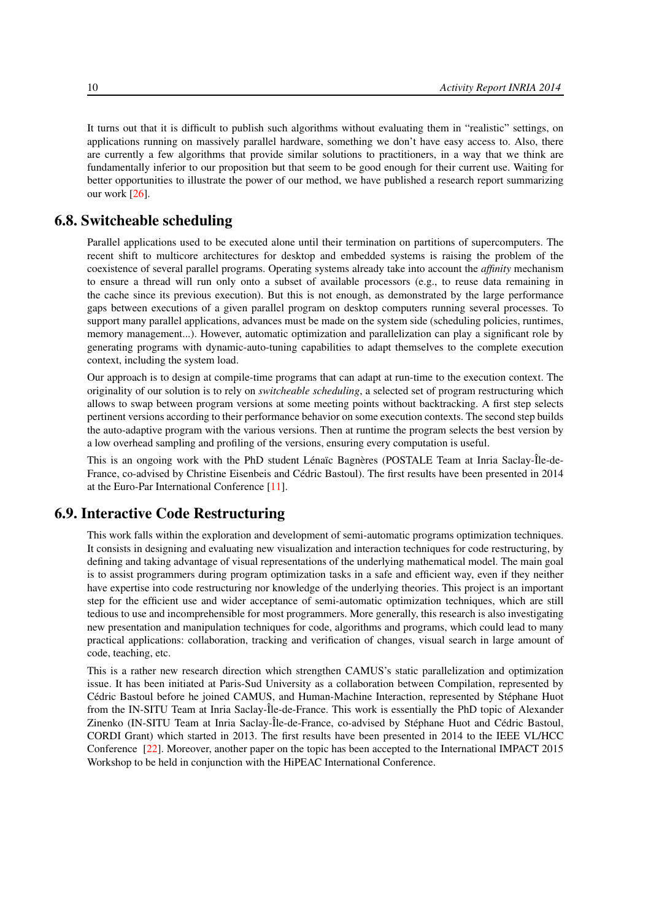It turns out that it is difficult to publish such algorithms without evaluating them in "realistic" settings, on applications running on massively parallel hardware, something we don't have easy access to. Also, there are currently a few algorithms that provide similar solutions to practitioners, in a way that we think are fundamentally inferior to our proposition but that seem to be good enough for their current use. Waiting for better opportunities to illustrate the power of our method, we have published a research report summarizing our work [\[26\]](#page-20-5).

# 6.8. Switcheable scheduling

<span id="page-13-0"></span>Parallel applications used to be executed alone until their termination on partitions of supercomputers. The recent shift to multicore architectures for desktop and embedded systems is raising the problem of the coexistence of several parallel programs. Operating systems already take into account the *affinity* mechanism to ensure a thread will run only onto a subset of available processors (e.g., to reuse data remaining in the cache since its previous execution). But this is not enough, as demonstrated by the large performance gaps between executions of a given parallel program on desktop computers running several processes. To support many parallel applications, advances must be made on the system side (scheduling policies, runtimes, memory management...). However, automatic optimization and parallelization can play a significant role by generating programs with dynamic-auto-tuning capabilities to adapt themselves to the complete execution context, including the system load.

Our approach is to design at compile-time programs that can adapt at run-time to the execution context. The originality of our solution is to rely on *switcheable scheduling*, a selected set of program restructuring which allows to swap between program versions at some meeting points without backtracking. A first step selects pertinent versions according to their performance behavior on some execution contexts. The second step builds the auto-adaptive program with the various versions. Then at runtime the program selects the best version by a low overhead sampling and profiling of the versions, ensuring every computation is useful.

This is an ongoing work with the PhD student Lénaïc Bagnères (POSTALE Team at Inria Saclay-Île-de-France, co-advised by Christine Eisenbeis and Cédric Bastoul). The first results have been presented in 2014 at the Euro-Par International Conference [\[11\]](#page-19-6).

### 6.9. Interactive Code Restructuring

<span id="page-13-1"></span>This work falls within the exploration and development of semi-automatic programs optimization techniques. It consists in designing and evaluating new visualization and interaction techniques for code restructuring, by defining and taking advantage of visual representations of the underlying mathematical model. The main goal is to assist programmers during program optimization tasks in a safe and efficient way, even if they neither have expertise into code restructuring nor knowledge of the underlying theories. This project is an important step for the efficient use and wider acceptance of semi-automatic optimization techniques, which are still tedious to use and incomprehensible for most programmers. More generally, this research is also investigating new presentation and manipulation techniques for code, algorithms and programs, which could lead to many practical applications: collaboration, tracking and verification of changes, visual search in large amount of code, teaching, etc.

This is a rather new research direction which strengthen CAMUS's static parallelization and optimization issue. It has been initiated at Paris-Sud University as a collaboration between Compilation, represented by Cédric Bastoul before he joined CAMUS, and Human-Machine Interaction, represented by Stéphane Huot from the IN-SITU Team at Inria Saclay-Île-de-France. This work is essentially the PhD topic of Alexander Zinenko (IN-SITU Team at Inria Saclay-Île-de-France, co-advised by Stéphane Huot and Cédric Bastoul, CORDI Grant) which started in 2013. The first results have been presented in 2014 to the IEEE VL/HCC Conference [\[22\]](#page-20-6). Moreover, another paper on the topic has been accepted to the International IMPACT 2015 Workshop to be held in conjunction with the HiPEAC International Conference.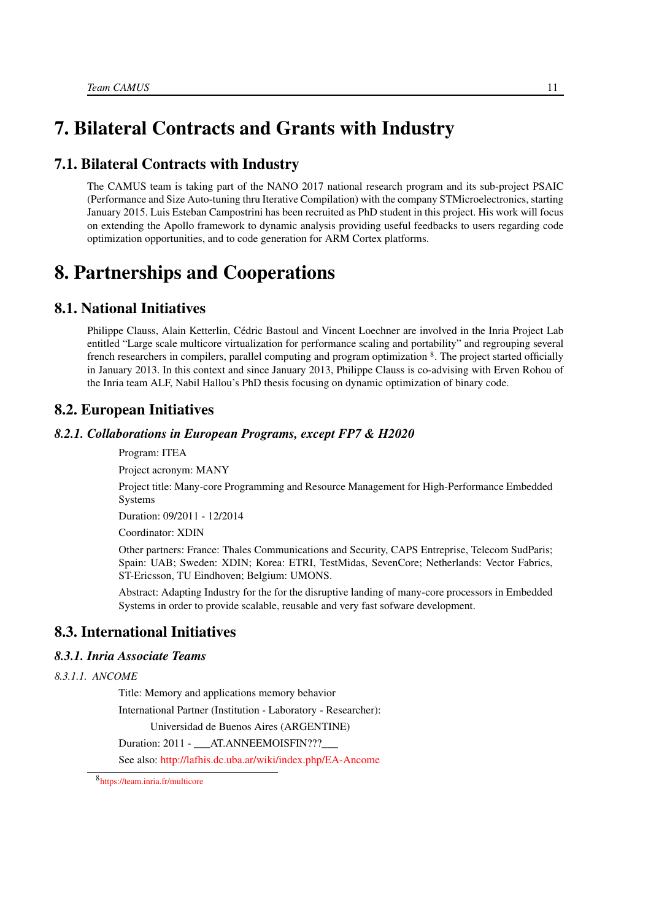# <span id="page-14-0"></span>7. Bilateral Contracts and Grants with Industry

# 7.1. Bilateral Contracts with Industry

The CAMUS team is taking part of the NANO 2017 national research program and its sub-project PSAIC (Performance and Size Auto-tuning thru Iterative Compilation) with the company STMicroelectronics, starting January 2015. Luis Esteban Campostrini has been recruited as PhD student in this project. His work will focus on extending the Apollo framework to dynamic analysis providing useful feedbacks to users regarding code optimization opportunities, and to code generation for ARM Cortex platforms.

# <span id="page-14-1"></span>8. Partnerships and Cooperations

# 8.1. National Initiatives

<span id="page-14-2"></span>Philippe Clauss, Alain Ketterlin, Cédric Bastoul and Vincent Loechner are involved in the Inria Project Lab entitled "Large scale multicore virtualization for performance scaling and portability" and regrouping several french researchers in compilers, parallel computing and program optimization 8. The project started officially in January 2013. In this context and since January 2013, Philippe Clauss is co-advising with Erven Rohou of the Inria team ALF, Nabil Hallou's PhD thesis focusing on dynamic optimization of binary code.

### <span id="page-14-3"></span>8.2. European Initiatives

### *8.2.1. Collaborations in European Programs, except FP7 & H2020*

Program: ITEA

Project acronym: MANY

Project title: Many-core Programming and Resource Management for High-Performance Embedded Systems

Duration: 09/2011 - 12/2014

Coordinator: XDIN

Other partners: France: Thales Communications and Security, CAPS Entreprise, Telecom SudParis; Spain: UAB; Sweden: XDIN; Korea: ETRI, TestMidas, SevenCore; Netherlands: Vector Fabrics, ST-Ericsson, TU Eindhoven; Belgium: UMONS.

Abstract: Adapting Industry for the for the disruptive landing of many-core processors in Embedded Systems in order to provide scalable, reusable and very fast sofware development.

# <span id="page-14-4"></span>8.3. International Initiatives

### <span id="page-14-5"></span>*8.3.1. Inria Associate Teams*

*8.3.1.1. ANCOME*

Title: Memory and applications memory behavior

International Partner (Institution - Laboratory - Researcher):

Universidad de Buenos Aires (ARGENTINE)

Duration: 2011 - \_\_\_ AT.ANNEEMOISFIN???\_\_\_

See also: <http://lafhis.dc.uba.ar/wiki/index.php/EA-Ancome>

<sup>8</sup> <https://team.inria.fr/multicore>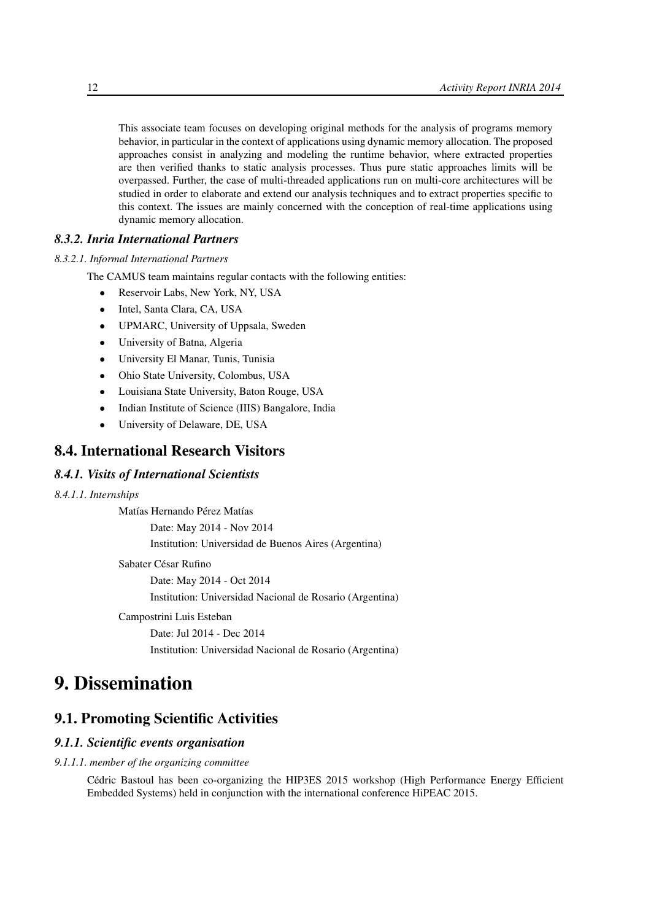This associate team focuses on developing original methods for the analysis of programs memory behavior, in particular in the context of applications using dynamic memory allocation. The proposed approaches consist in analyzing and modeling the runtime behavior, where extracted properties are then verified thanks to static analysis processes. Thus pure static approaches limits will be overpassed. Further, the case of multi-threaded applications run on multi-core architectures will be studied in order to elaborate and extend our analysis techniques and to extract properties specific to this context. The issues are mainly concerned with the conception of real-time applications using dynamic memory allocation.

### <span id="page-15-0"></span>*8.3.2. Inria International Partners*

*8.3.2.1. Informal International Partners*

The CAMUS team maintains regular contacts with the following entities:

- Reservoir Labs, New York, NY, USA
- Intel, Santa Clara, CA, USA
- UPMARC, University of Uppsala, Sweden
- University of Batna, Algeria
- University El Manar, Tunis, Tunisia
- Ohio State University, Colombus, USA
- Louisiana State University, Baton Rouge, USA
- Indian Institute of Science (IIIS) Bangalore, India
- <span id="page-15-1"></span>• University of Delaware, DE, USA

# 8.4. International Research Visitors

### *8.4.1. Visits of International Scientists*

### *8.4.1.1. Internships*

Matías Hernando Pérez Matías

Date: May 2014 - Nov 2014

Institution: Universidad de Buenos Aires (Argentina)

#### Sabater César Rufino

Date: May 2014 - Oct 2014 Institution: Universidad Nacional de Rosario (Argentina)

### Campostrini Luis Esteban

Date: Jul 2014 - Dec 2014 Institution: Universidad Nacional de Rosario (Argentina)

# <span id="page-15-2"></span>9. Dissemination

### <span id="page-15-3"></span>9.1. Promoting Scientific Activities

### <span id="page-15-4"></span>*9.1.1. Scientific events organisation*

#### *9.1.1.1. member of the organizing committee*

Cédric Bastoul has been co-organizing the HIP3ES 2015 workshop (High Performance Energy Efficient Embedded Systems) held in conjunction with the international conference HiPEAC 2015.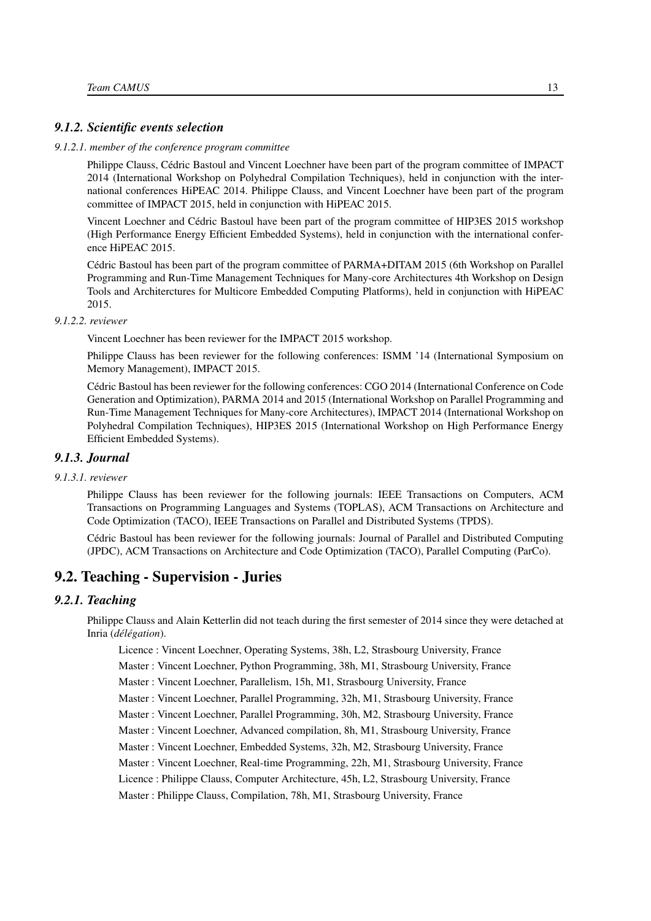### <span id="page-16-0"></span>*9.1.2. Scientific events selection*

#### *9.1.2.1. member of the conference program committee*

<span id="page-16-1"></span>Philippe Clauss, Cédric Bastoul and Vincent Loechner have been part of the program committee of IMPACT 2014 (International Workshop on Polyhedral Compilation Techniques), held in conjunction with the international conferences HiPEAC 2014. Philippe Clauss, and Vincent Loechner have been part of the program committee of IMPACT 2015, held in conjunction with HiPEAC 2015.

Vincent Loechner and Cédric Bastoul have been part of the program committee of HIP3ES 2015 workshop (High Performance Energy Efficient Embedded Systems), held in conjunction with the international conference HiPEAC 2015.

Cédric Bastoul has been part of the program committee of PARMA+DITAM 2015 (6th Workshop on Parallel Programming and Run-Time Management Techniques for Many-core Architectures 4th Workshop on Design Tools and Architerctures for Multicore Embedded Computing Platforms), held in conjunction with HiPEAC 2015.

#### *9.1.2.2. reviewer*

<span id="page-16-2"></span>Vincent Loechner has been reviewer for the IMPACT 2015 workshop.

Philippe Clauss has been reviewer for the following conferences: ISMM '14 (International Symposium on Memory Management), IMPACT 2015.

Cédric Bastoul has been reviewer for the following conferences: CGO 2014 (International Conference on Code Generation and Optimization), PARMA 2014 and 2015 (International Workshop on Parallel Programming and Run-Time Management Techniques for Many-core Architectures), IMPACT 2014 (International Workshop on Polyhedral Compilation Techniques), HIP3ES 2015 (International Workshop on High Performance Energy Efficient Embedded Systems).

#### <span id="page-16-3"></span>*9.1.3. Journal*

### *9.1.3.1. reviewer*

Philippe Clauss has been reviewer for the following journals: IEEE Transactions on Computers, ACM Transactions on Programming Languages and Systems (TOPLAS), ACM Transactions on Architecture and Code Optimization (TACO), IEEE Transactions on Parallel and Distributed Systems (TPDS).

<span id="page-16-4"></span>Cédric Bastoul has been reviewer for the following journals: Journal of Parallel and Distributed Computing (JPDC), ACM Transactions on Architecture and Code Optimization (TACO), Parallel Computing (ParCo).

### 9.2. Teaching - Supervision - Juries

### *9.2.1. Teaching*

<span id="page-16-5"></span>Philippe Clauss and Alain Ketterlin did not teach during the first semester of 2014 since they were detached at Inria (*délégation*).

Licence : Vincent Loechner, Operating Systems, 38h, L2, Strasbourg University, France

Master : Vincent Loechner, Python Programming, 38h, M1, Strasbourg University, France

Master : Vincent Loechner, Parallelism, 15h, M1, Strasbourg University, France

Master : Vincent Loechner, Parallel Programming, 32h, M1, Strasbourg University, France

Master : Vincent Loechner, Parallel Programming, 30h, M2, Strasbourg University, France

Master : Vincent Loechner, Advanced compilation, 8h, M1, Strasbourg University, France

Master : Vincent Loechner, Embedded Systems, 32h, M2, Strasbourg University, France

Master : Vincent Loechner, Real-time Programming, 22h, M1, Strasbourg University, France

Licence : Philippe Clauss, Computer Architecture, 45h, L2, Strasbourg University, France

Master : Philippe Clauss, Compilation, 78h, M1, Strasbourg University, France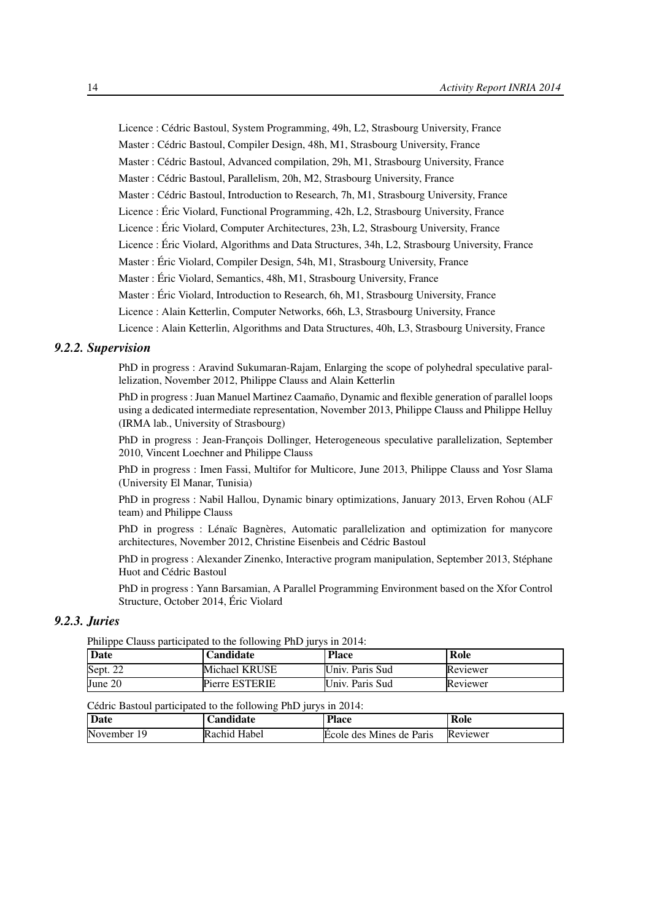Licence : Cédric Bastoul, System Programming, 49h, L2, Strasbourg University, France Master : Cédric Bastoul, Compiler Design, 48h, M1, Strasbourg University, France Master : Cédric Bastoul, Advanced compilation, 29h, M1, Strasbourg University, France Master : Cédric Bastoul, Parallelism, 20h, M2, Strasbourg University, France Master : Cédric Bastoul, Introduction to Research, 7h, M1, Strasbourg University, France Licence : Éric Violard, Functional Programming, 42h, L2, Strasbourg University, France Licence : Éric Violard, Computer Architectures, 23h, L2, Strasbourg University, France Licence : Éric Violard, Algorithms and Data Structures, 34h, L2, Strasbourg University, France Master : Éric Violard, Compiler Design, 54h, M1, Strasbourg University, France Master : Éric Violard, Semantics, 48h, M1, Strasbourg University, France Master : Éric Violard, Introduction to Research, 6h, M1, Strasbourg University, France Licence : Alain Ketterlin, Computer Networks, 66h, L3, Strasbourg University, France

Licence : Alain Ketterlin, Algorithms and Data Structures, 40h, L3, Strasbourg University, France

### <span id="page-17-0"></span>*9.2.2. Supervision*

PhD in progress : Aravind Sukumaran-Rajam, Enlarging the scope of polyhedral speculative parallelization, November 2012, Philippe Clauss and Alain Ketterlin

PhD in progress : Juan Manuel Martinez Caamaño, Dynamic and flexible generation of parallel loops using a dedicated intermediate representation, November 2013, Philippe Clauss and Philippe Helluy (IRMA lab., University of Strasbourg)

PhD in progress : Jean-François Dollinger, Heterogeneous speculative parallelization, September 2010, Vincent Loechner and Philippe Clauss

PhD in progress : Imen Fassi, Multifor for Multicore, June 2013, Philippe Clauss and Yosr Slama (University El Manar, Tunisia)

PhD in progress : Nabil Hallou, Dynamic binary optimizations, January 2013, Erven Rohou (ALF team) and Philippe Clauss

PhD in progress : Lénaïc Bagnères, Automatic parallelization and optimization for manycore architectures, November 2012, Christine Eisenbeis and Cédric Bastoul

PhD in progress : Alexander Zinenko, Interactive program manipulation, September 2013, Stéphane Huot and Cédric Bastoul

PhD in progress : Yann Barsamian, A Parallel Programming Environment based on the Xfor Control Structure, October 2014, Éric Violard

### *9.2.3. Juries*

<span id="page-17-1"></span>Philippe Clauss participated to the following PhD jurys in 2014:

| Date     | Candidate             | <b>Place</b>    | Role     |
|----------|-----------------------|-----------------|----------|
| Sept. 22 | Michael KRUSE         | Univ. Paris Sud | Reviewer |
| June 20  | <b>Pierre ESTERIE</b> | Univ. Paris Sud | Reviewer |

#### Cédric Bastoul participated to the following PhD jurys in 2014:

| Date            | <b>Landidate</b> | <b>Place</b>             | Role     |
|-----------------|------------------|--------------------------|----------|
| November<br>1 Q | Rachid Habel     | Ecole des Mines de Paris | Reviewer |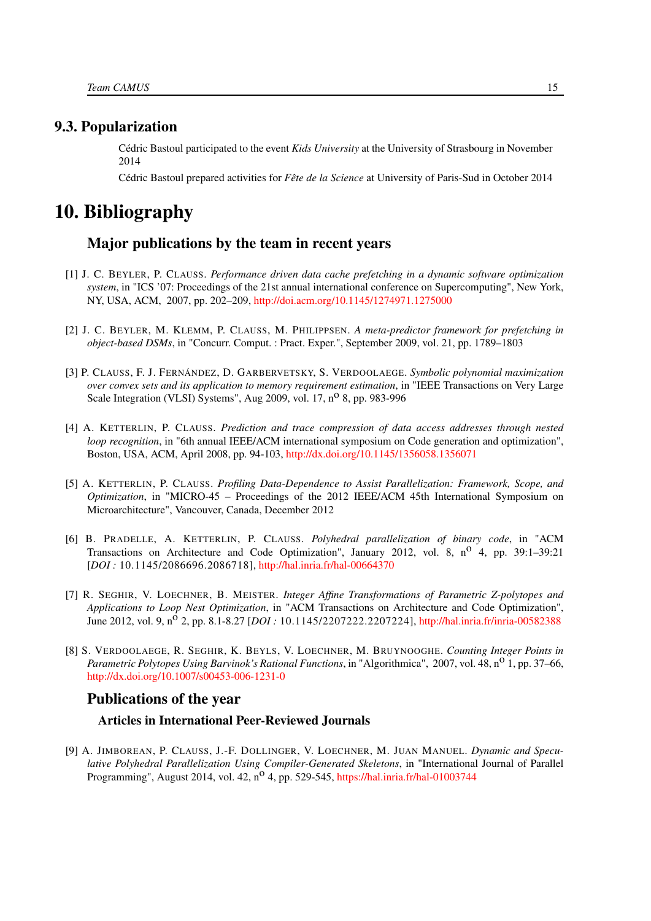## <span id="page-18-0"></span>9.3. Popularization

Cédric Bastoul participated to the event *Kids University* at the University of Strasbourg in November 2014

Cédric Bastoul prepared activities for *Fête de la Science* at University of Paris-Sud in October 2014

# <span id="page-18-1"></span>10. Bibliography

# Major publications by the team in recent years

- [1] J. C. BEYLER, P. CLAUSS. *Performance driven data cache prefetching in a dynamic software optimization system*, in "ICS '07: Proceedings of the 21st annual international conference on Supercomputing", New York, NY, USA, ACM, 2007, pp. 202–209, <http://doi.acm.org/10.1145/1274971.1275000>
- [2] J. C. BEYLER, M. KLEMM, P. CLAUSS, M. PHILIPPSEN. *A meta-predictor framework for prefetching in object-based DSMs*, in "Concurr. Comput. : Pract. Exper.", September 2009, vol. 21, pp. 1789–1803
- [3] P. CLAUSS, F. J. FERNÁNDEZ, D. GARBERVETSKY, S. VERDOOLAEGE. *Symbolic polynomial maximization over convex sets and its application to memory requirement estimation*, in "IEEE Transactions on Very Large Scale Integration (VLSI) Systems", Aug 2009, vol. 17,  $n^0$  8, pp. 983-996
- [4] A. KETTERLIN, P. CLAUSS. *Prediction and trace compression of data access addresses through nested loop recognition*, in "6th annual IEEE/ACM international symposium on Code generation and optimization", Boston, USA, ACM, April 2008, pp. 94-103, <http://dx.doi.org/10.1145/1356058.1356071>
- [5] A. KETTERLIN, P. CLAUSS. *Profiling Data-Dependence to Assist Parallelization: Framework, Scope, and Optimization*, in "MICRO-45 – Proceedings of the 2012 IEEE/ACM 45th International Symposium on Microarchitecture", Vancouver, Canada, December 2012
- [6] B. PRADELLE, A. KETTERLIN, P. CLAUSS. *Polyhedral parallelization of binary code*, in "ACM Transactions on Architecture and Code Optimization", January 2012, vol. 8, n<sup>o</sup> 4, pp. 39:1–39:21 [*DOI :* 10.1145/2086696.2086718], <http://hal.inria.fr/hal-00664370>
- [7] R. SEGHIR, V. LOECHNER, B. MEISTER. *Integer Affine Transformations of Parametric Z-polytopes and Applications to Loop Nest Optimization*, in "ACM Transactions on Architecture and Code Optimization", June 2012, vol. 9, n<sup>o</sup> 2, pp. 8.1-8.27 [*DOI*: 10.1145/2207222.2207224], <http://hal.inria.fr/inria-00582388>
- [8] S. VERDOOLAEGE, R. SEGHIR, K. BEYLS, V. LOECHNER, M. BRUYNOOGHE. *Counting Integer Points in Parametric Polytopes Using Barvinok's Rational Functions*, in "Algorithmica", 2007, vol. 48, n<sup>o</sup> 1, pp. 37–66, <http://dx.doi.org/10.1007/s00453-006-1231-0>

### Publications of the year

### Articles in International Peer-Reviewed Journals

<span id="page-18-2"></span>[9] A. JIMBOREAN, P. CLAUSS, J.-F. DOLLINGER, V. LOECHNER, M. JUAN MANUEL. *Dynamic and Speculative Polyhedral Parallelization Using Compiler-Generated Skeletons*, in "International Journal of Parallel Programming", August 2014, vol. 42,  $n^{\circ}$  4, pp. 529-545, <https://hal.inria.fr/hal-01003744>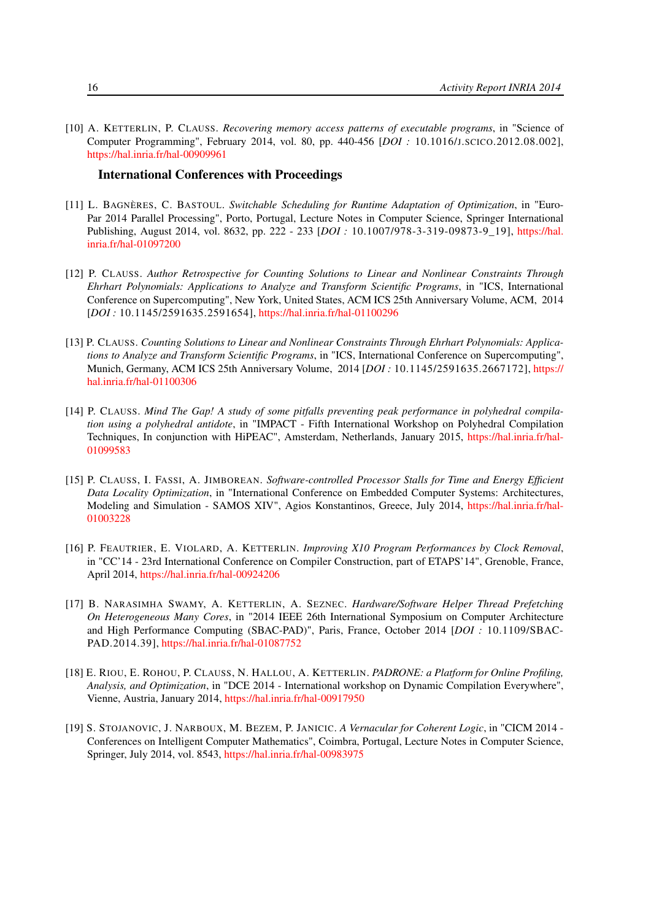[10] A. KETTERLIN, P. CLAUSS. *Recovering memory access patterns of executable programs*, in "Science of Computer Programming", February 2014, vol. 80, pp. 440-456 [*DOI :* 10.1016/J.SCICO.2012.08.002], <https://hal.inria.fr/hal-00909961>

### International Conferences with Proceedings

- <span id="page-19-6"></span>[11] L. BAGNÈRES, C. BASTOUL. *Switchable Scheduling for Runtime Adaptation of Optimization*, in "Euro-Par 2014 Parallel Processing", Porto, Portugal, Lecture Notes in Computer Science, Springer International Publishing, August 2014, vol. 8632, pp. 222 - 233 [*DOI :* 10.1007/978-3-319-09873-9\_19], [https://hal.](https://hal.inria.fr/hal-01097200) [inria.fr/hal-01097200](https://hal.inria.fr/hal-01097200)
- <span id="page-19-1"></span>[12] P. CLAUSS. *Author Retrospective for Counting Solutions to Linear and Nonlinear Constraints Through Ehrhart Polynomials: Applications to Analyze and Transform Scientific Programs*, in "ICS, International Conference on Supercomputing", New York, United States, ACM ICS 25th Anniversary Volume, ACM, 2014 [*DOI :* 10.1145/2591635.2591654], <https://hal.inria.fr/hal-01100296>
- <span id="page-19-0"></span>[13] P. CLAUSS. *Counting Solutions to Linear and Nonlinear Constraints Through Ehrhart Polynomials: Applications to Analyze and Transform Scientific Programs*, in "ICS, International Conference on Supercomputing", Munich, Germany, ACM ICS 25th Anniversary Volume, 2014 [*DOI :* 10.1145/2591635.2667172], [https://](https://hal.inria.fr/hal-01100306) [hal.inria.fr/hal-01100306](https://hal.inria.fr/hal-01100306)
- <span id="page-19-4"></span>[14] P. CLAUSS. *Mind The Gap! A study of some pitfalls preventing peak performance in polyhedral compilation using a polyhedral antidote*, in "IMPACT - Fifth International Workshop on Polyhedral Compilation Techniques, In conjunction with HiPEAC", Amsterdam, Netherlands, January 2015, [https://hal.inria.fr/hal-](https://hal.inria.fr/hal-01099583)[01099583](https://hal.inria.fr/hal-01099583)
- <span id="page-19-3"></span>[15] P. CLAUSS, I. FASSI, A. JIMBOREAN. *Software-controlled Processor Stalls for Time and Energy Efficient Data Locality Optimization*, in "International Conference on Embedded Computer Systems: Architectures, Modeling and Simulation - SAMOS XIV", Agios Konstantinos, Greece, July 2014, [https://hal.inria.fr/hal-](https://hal.inria.fr/hal-01003228)[01003228](https://hal.inria.fr/hal-01003228)
- [16] P. FEAUTRIER, E. VIOLARD, A. KETTERLIN. *Improving X10 Program Performances by Clock Removal*, in "CC'14 - 23rd International Conference on Compiler Construction, part of ETAPS'14", Grenoble, France, April 2014, <https://hal.inria.fr/hal-00924206>
- <span id="page-19-5"></span>[17] B. NARASIMHA SWAMY, A. KETTERLIN, A. SEZNEC. *Hardware/Software Helper Thread Prefetching On Heterogeneous Many Cores*, in "2014 IEEE 26th International Symposium on Computer Architecture and High Performance Computing (SBAC-PAD)", Paris, France, October 2014 [*DOI :* 10.1109/SBAC-PAD.2014.39], <https://hal.inria.fr/hal-01087752>
- [18] E. RIOU, E. ROHOU, P. CLAUSS, N. HALLOU, A. KETTERLIN. *PADRONE: a Platform for Online Profiling, Analysis, and Optimization*, in "DCE 2014 - International workshop on Dynamic Compilation Everywhere", Vienne, Austria, January 2014, <https://hal.inria.fr/hal-00917950>
- <span id="page-19-2"></span>[19] S. STOJANOVIC, J. NARBOUX, M. BEZEM, P. JANICIC. *A Vernacular for Coherent Logic*, in "CICM 2014 - Conferences on Intelligent Computer Mathematics", Coimbra, Portugal, Lecture Notes in Computer Science, Springer, July 2014, vol. 8543, <https://hal.inria.fr/hal-00983975>